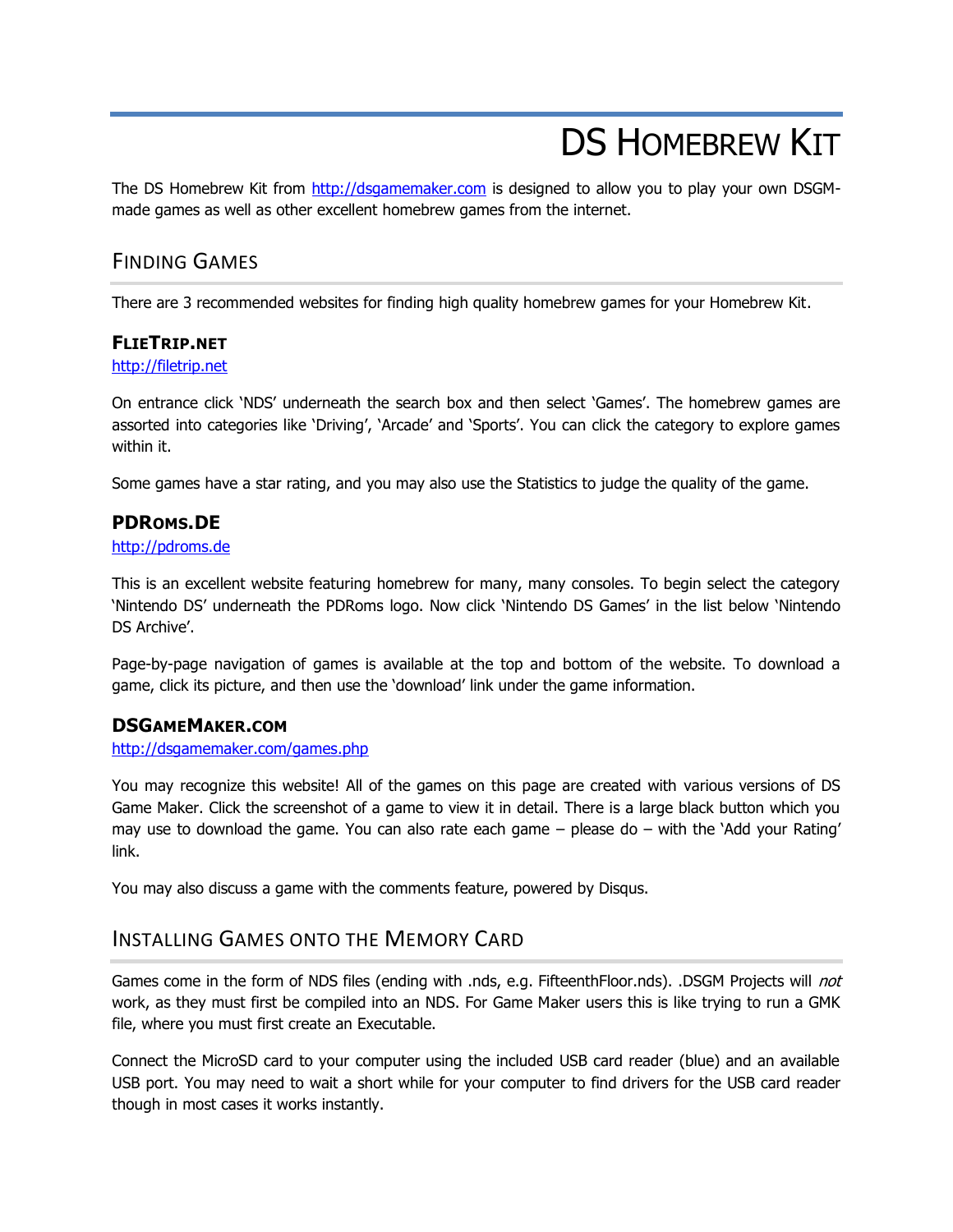# DS HOMEBREW KIT

The DS Homebrew Kit from [http://dsgamemaker.com](http://dsgamemaker.com/) is designed to allow you to play your own DSGMmade games as well as other excellent homebrew games from the internet.

# FINDING GAMES

There are 3 recommended websites for finding high quality homebrew games for your Homebrew Kit.

#### **FLIETRIP.NET**

#### [http://filetrip.net](http://filetrip.net/)

On entrance click "NDS" underneath the search box and then select "Games". The homebrew games are assorted into categories like 'Driving', 'Arcade' and 'Sports'. You can click the category to explore games within it.

Some games have a star rating, and you may also use the Statistics to judge the quality of the game.

## **PDROMS.DE**

#### [http://pdroms.de](http://pdroms.de/)

This is an excellent website featuring homebrew for many, many consoles. To begin select the category "Nintendo DS" underneath the PDRoms logo. Now click "Nintendo DS Games" in the list below "Nintendo DS Archive'.

Page-by-page navigation of games is available at the top and bottom of the website. To download a game, click its picture, and then use the "download" link under the game information.

#### **DSGAMEMAKER.COM**

#### <http://dsgamemaker.com/games.php>

You may recognize this website! All of the games on this page are created with various versions of DS Game Maker. Click the screenshot of a game to view it in detail. There is a large black button which you may use to download the game. You can also rate each game – please do – with the "Add your Rating" link.

You may also discuss a game with the comments feature, powered by Disqus.

## INSTALLING GAMES ONTO THE MEMORY CARD

Games come in the form of NDS files (ending with .nds, e.g. FifteenthFloor.nds). .DSGM Projects will not work, as they must first be compiled into an NDS. For Game Maker users this is like trying to run a GMK file, where you must first create an Executable.

Connect the MicroSD card to your computer using the included USB card reader (blue) and an available USB port. You may need to wait a short while for your computer to find drivers for the USB card reader though in most cases it works instantly.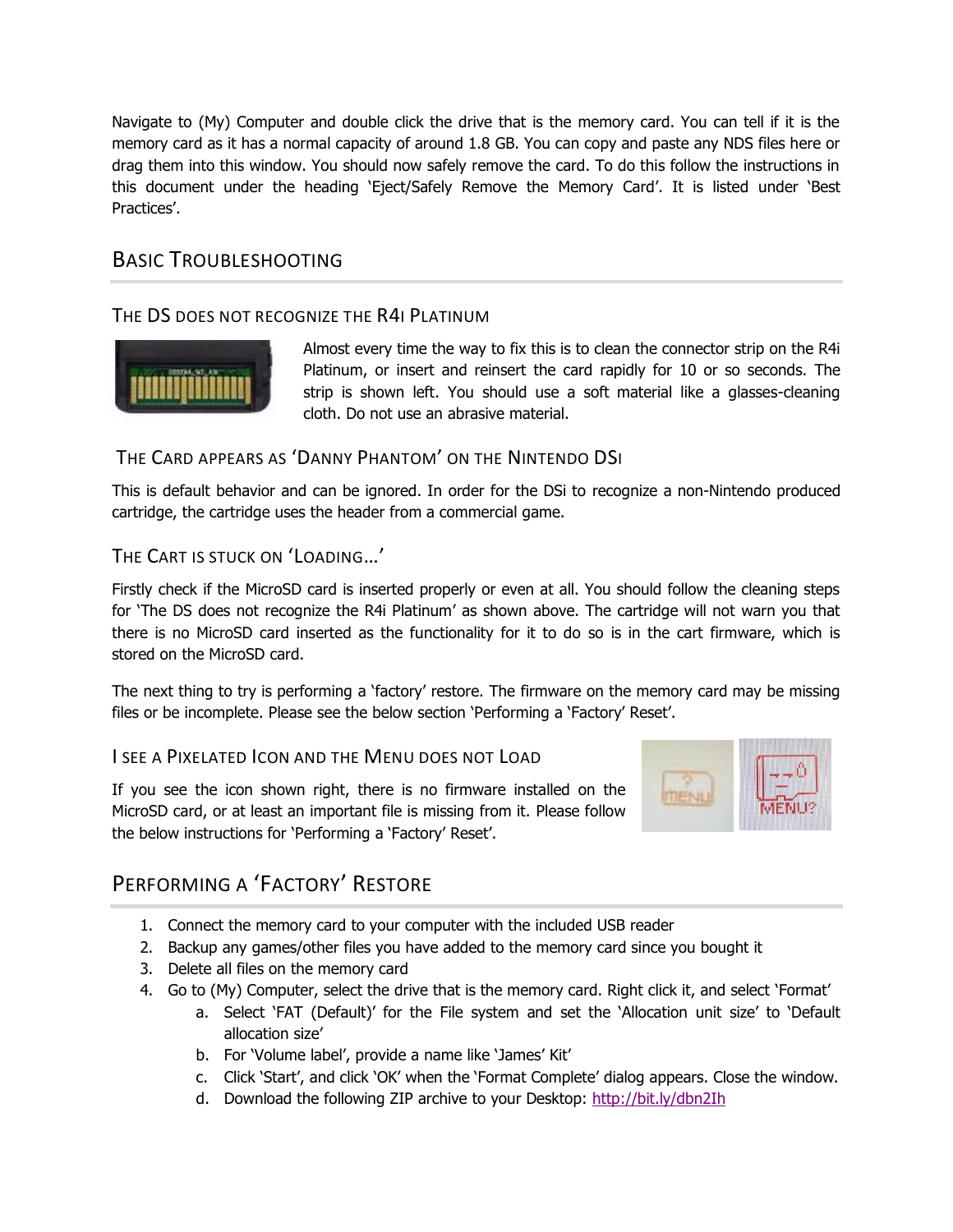Navigate to (My) Computer and double click the drive that is the memory card. You can tell if it is the memory card as it has a normal capacity of around 1.8 GB. You can copy and paste any NDS files here or drag them into this window. You should now safely remove the card. To do this follow the instructions in this document under the heading 'Eject/Safely Remove the Memory Card'. It is listed under 'Best Practices'.

# BASIC TROUBLESHOOTING

## THE DS DOES NOT RECOGNIZE THE R4I PLATINUM



Almost every time the way to fix this is to clean the connector strip on the R4i Platinum, or insert and reinsert the card rapidly for 10 or so seconds. The strip is shown left. You should use a soft material like a glasses-cleaning cloth. Do not use an abrasive material.

THE CARD APPEARS AS 'DANNY PHANTOM' ON THE NINTENDO DSI

This is default behavior and can be ignored. In order for the DSi to recognize a non-Nintendo produced cartridge, the cartridge uses the header from a commercial game.

THE CART IS STUCK ON 'LOADING…'

Firstly check if the MicroSD card is inserted properly or even at all. You should follow the cleaning steps for "The DS does not recognize the R4i Platinum" as shown above. The cartridge will not warn you that there is no MicroSD card inserted as the functionality for it to do so is in the cart firmware, which is stored on the MicroSD card.

The next thing to try is performing a "factory" restore. The firmware on the memory card may be missing files or be incomplete. Please see the below section "Performing a "Factory" Reset".

#### I SEE A PIXELATED ICON AND THE MENU DOES NOT LOAD

If you see the icon shown right, there is no firmware installed on the MicroSD card, or at least an important file is missing from it. Please follow the below instructions for "Performing a "Factory" Reset".



# PERFORMING A 'FACTORY' RESTORE

- 1. Connect the memory card to your computer with the included USB reader
- 2. Backup any games/other files you have added to the memory card since you bought it
- 3. Delete all files on the memory card
- 4. Go to (My) Computer, select the drive that is the memory card. Right click it, and select "Format"
	- a. Select "FAT (Default)" for the File system and set the "Allocation unit size" to "Default allocation size"
	- b. For 'Volume label', provide a name like 'James' Kit'
	- c. Click "Start", and click "OK" when the "Format Complete" dialog appears. Close the window.
	- d. Download the following ZIP archive to your Desktop: <http://bit.ly/dbn2Ih>